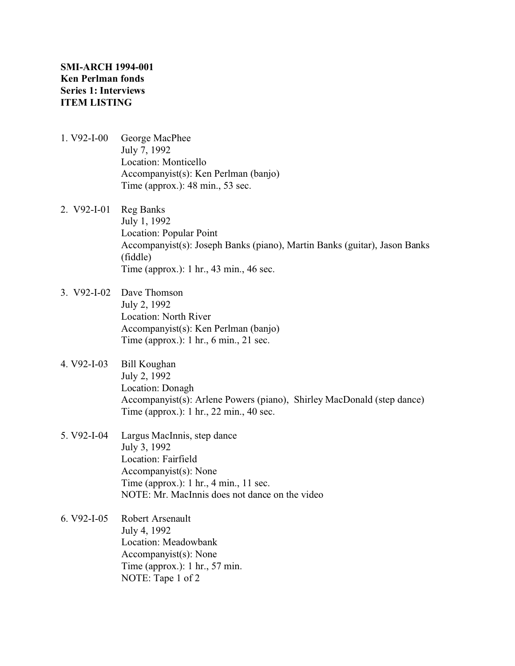- 1. V92-I-00 George MacPhee July 7, 1992 Location: Monticello Accompanyist(s): Ken Perlman (banjo) Time (approx.): 48 min., 53 sec.
- 2. V92-I-01 Reg Banks July 1, 1992 Location: Popular Point Accompanyist(s): Joseph Banks (piano), Martin Banks (guitar), Jason Banks (fiddle) Time (approx.): 1 hr., 43 min., 46 sec.
- 3. V92-I-02 Dave Thomson July 2, 1992 Location: North River Accompanyist(s): Ken Perlman (banjo) Time (approx.): 1 hr., 6 min., 21 sec.
- 4. V92-I-03 Bill Koughan July 2, 1992 Location: Donagh Accompanyist(s): Arlene Powers (piano), Shirley MacDonald (step dance) Time (approx.): 1 hr., 22 min., 40 sec.
- 5. V92-I-04 Largus MacInnis, step dance July 3, 1992 Location: Fairfield Accompanyist(s): None Time (approx.): 1 hr., 4 min., 11 sec. NOTE: Mr. MacInnis does not dance on the video
- 6. V92-I-05 Robert Arsenault July 4, 1992 Location: Meadowbank Accompanyist(s): None Time (approx.): 1 hr., 57 min. NOTE: Tape 1 of 2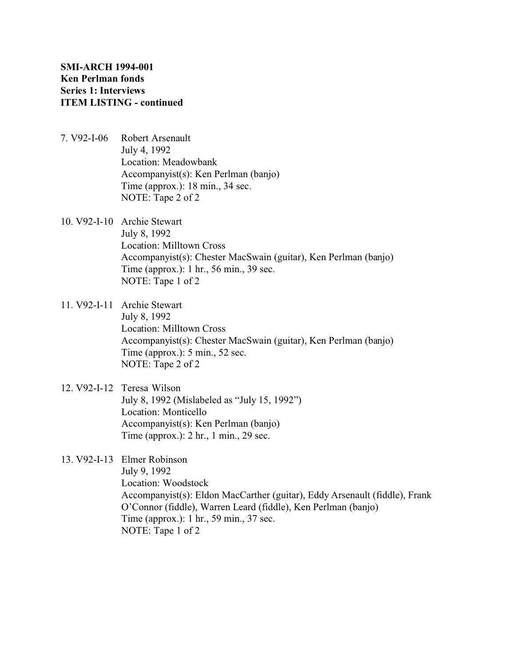- 7. V92-I-06 Robert Arsenault July 4, 1992 Location: Meadowbank Accompanyist(s): Ken Perlman (banjo) Time (approx.): 18 min., 34 sec. NOTE: Tape 2 of 2
- 10. V92-I-10 Archie Stewart July 8, 1992 Location: Milltown Cross Accompanyist(s): Chester MacSwain (guitar), Ken Perlman (banjo) Time (approx.): 1 hr., 56 min., 39 sec. NOTE: Tape 1 of 2
- 11. V92-I-11 Archie Stewart July 8, 1992 Location: Milltown Cross Accompanyist(s): Chester MacSwain (guitar), Ken Perlman (banjo) Time (approx.): 5 min., 52 sec. NOTE: Tape 2 of 2
- 12. V92-I-12 Teresa Wilson July 8, 1992 (Mislabeled as "July 15, 1992") Location: Monticello Accompanyist(s): Ken Perlman (banjo) Time (approx.): 2 hr., 1 min., 29 sec.
- 13. V92-I-13 Elmer Robinson

July 9, 1992 Location: Woodstock Accompanyist(s): Eldon MacCarther (guitar), Eddy Arsenault (fiddle), Frank O'Connor (fiddle), Warren Leard (fiddle), Ken Perlman (banjo) Time (approx.): 1 hr., 59 min., 37 sec. NOTE: Tape 1 of 2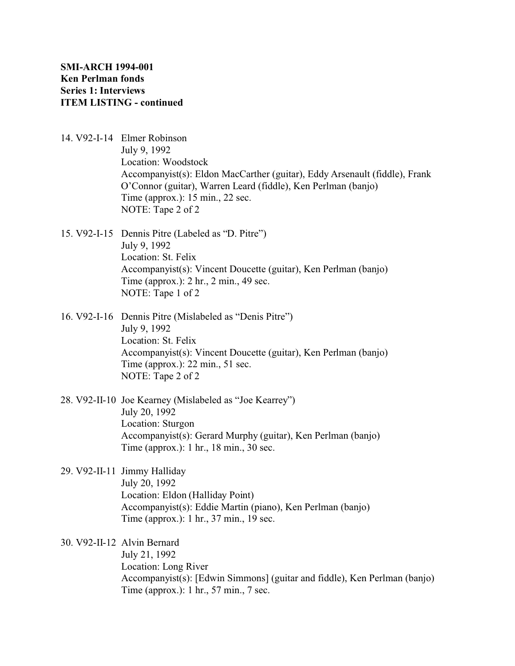- 14. V92-I-14 Elmer Robinson July 9, 1992 Location: Woodstock Accompanyist(s): Eldon MacCarther (guitar), Eddy Arsenault (fiddle), Frank O'Connor (guitar), Warren Leard (fiddle), Ken Perlman (banjo) Time (approx.): 15 min., 22 sec. NOTE: Tape 2 of 2
- 15. V92-I-15 Dennis Pitre (Labeled as "D. Pitre") July 9, 1992 Location: St. Felix Accompanyist(s): Vincent Doucette (guitar), Ken Perlman (banjo) Time (approx.): 2 hr., 2 min., 49 sec. NOTE: Tape 1 of 2
- 16. V92-I-16 Dennis Pitre (Mislabeled as "Denis Pitre") July 9, 1992 Location: St. Felix Accompanyist(s): Vincent Doucette (guitar), Ken Perlman (banjo) Time (approx.): 22 min., 51 sec. NOTE: Tape 2 of 2
- 28. V92-II-10 Joe Kearney (Mislabeled as "Joe Kearrey") July 20, 1992 Location: Sturgon Accompanyist(s): Gerard Murphy (guitar), Ken Perlman (banjo) Time (approx.): 1 hr., 18 min., 30 sec.
- 29. V92-II-11 Jimmy Halliday July 20, 1992 Location: Eldon (Halliday Point) Accompanyist(s): Eddie Martin (piano), Ken Perlman (banjo) Time (approx.): 1 hr., 37 min., 19 sec.

30. V92-II-12 Alvin Bernard July 21, 1992 Location: Long River Accompanyist(s): [Edwin Simmons] (guitar and fiddle), Ken Perlman (banjo) Time (approx.): 1 hr., 57 min., 7 sec.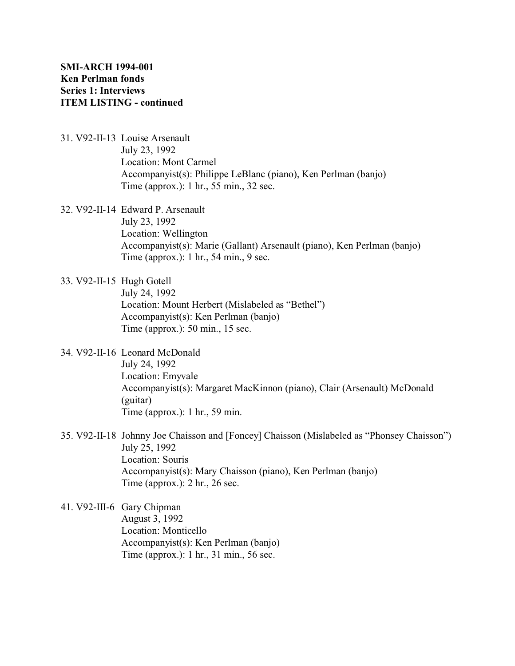- 31. V92-II-13 Louise Arsenault July 23, 1992 Location: Mont Carmel Accompanyist(s): Philippe LeBlanc (piano), Ken Perlman (banjo) Time (approx.): 1 hr., 55 min., 32 sec.
- 32. V92-II-14 Edward P. Arsenault July 23, 1992 Location: Wellington Accompanyist(s): Marie (Gallant) Arsenault (piano), Ken Perlman (banjo) Time (approx.): 1 hr., 54 min., 9 sec.
- 33. V92-II-15 Hugh Gotell July 24, 1992 Location: Mount Herbert (Mislabeled as "Bethel") Accompanyist(s): Ken Perlman (banjo) Time (approx.): 50 min., 15 sec.
- 34. V92-II-16 Leonard McDonald July 24, 1992 Location: Emyvale Accompanyist(s): Margaret MacKinnon (piano), Clair (Arsenault) McDonald (guitar) Time (approx.): 1 hr., 59 min.
- 35. V92-II-18 Johnny Joe Chaisson and [Foncey] Chaisson (Mislabeled as "Phonsey Chaisson") July 25, 1992 Location: Souris Accompanyist(s): Mary Chaisson (piano), Ken Perlman (banjo) Time (approx.): 2 hr., 26 sec.
- 41. V92-III-6 Gary Chipman August 3, 1992 Location: Monticello Accompanyist(s): Ken Perlman (banjo) Time (approx.): 1 hr., 31 min., 56 sec.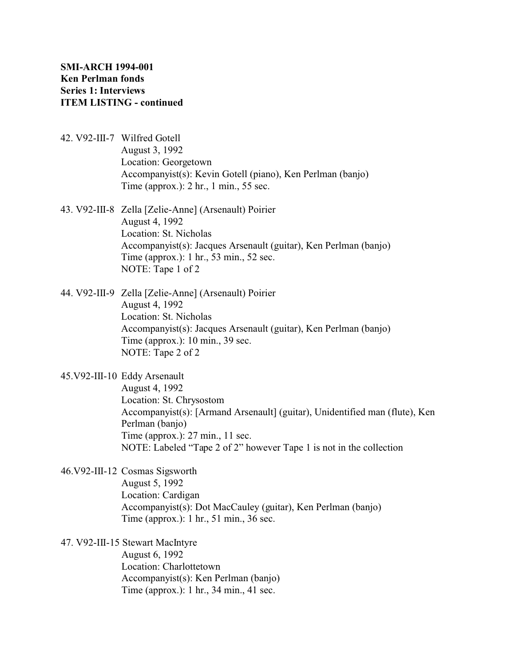- 42. V92-III-7 Wilfred Gotell August 3, 1992 Location: Georgetown Accompanyist(s): Kevin Gotell (piano), Ken Perlman (banjo) Time (approx.): 2 hr., 1 min., 55 sec.
- 43. V92-III-8 Zella [Zelie-Anne] (Arsenault) Poirier August 4, 1992 Location: St. Nicholas Accompanyist(s): Jacques Arsenault (guitar), Ken Perlman (banjo) Time (approx.): 1 hr., 53 min., 52 sec. NOTE: Tape 1 of 2
- 44. V92-III-9 Zella [Zelie-Anne] (Arsenault) Poirier August 4, 1992 Location: St. Nicholas Accompanyist(s): Jacques Arsenault (guitar), Ken Perlman (banjo) Time (approx.): 10 min., 39 sec. NOTE: Tape 2 of 2
- 45.V92-III-10 Eddy Arsenault August 4, 1992 Location: St. Chrysostom Accompanyist(s): [Armand Arsenault] (guitar), Unidentified man (flute), Ken Perlman (banjo) Time (approx.): 27 min., 11 sec. NOTE: Labeled "Tape 2 of 2" however Tape 1 is not in the collection

46.V92-III-12 Cosmas Sigsworth August 5, 1992 Location: Cardigan Accompanyist(s): Dot MacCauley (guitar), Ken Perlman (banjo) Time (approx.): 1 hr., 51 min., 36 sec.

47. V92-III-15 Stewart MacIntyre

August 6, 1992 Location: Charlottetown Accompanyist(s): Ken Perlman (banjo) Time (approx.): 1 hr., 34 min., 41 sec.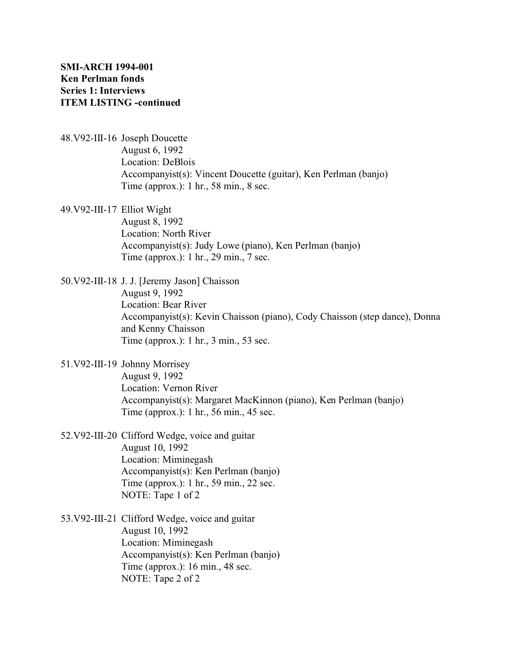48.V92-III-16 Joseph Doucette August 6, 1992 Location: DeBlois Accompanyist(s): Vincent Doucette (guitar), Ken Perlman (banjo) Time (approx.): 1 hr., 58 min., 8 sec.

49.V92-III-17 Elliot Wight August 8, 1992 Location: North River Accompanyist(s): Judy Lowe (piano), Ken Perlman (banjo) Time (approx.): 1 hr., 29 min., 7 sec.

50.V92-III-18 J. J. [Jeremy Jason] Chaisson August 9, 1992 Location: Bear River Accompanyist(s): Kevin Chaisson (piano), Cody Chaisson (step dance), Donna and Kenny Chaisson Time (approx.): 1 hr., 3 min., 53 sec.

51.V92-III-19 Johnny Morrisey August 9, 1992 Location: Vernon River Accompanyist(s): Margaret MacKinnon (piano), Ken Perlman (banjo) Time (approx.): 1 hr., 56 min., 45 sec.

- 52.V92-III-20 Clifford Wedge, voice and guitar August 10, 1992 Location: Miminegash Accompanyist(s): Ken Perlman (banjo) Time (approx.): 1 hr., 59 min., 22 sec. NOTE: Tape 1 of 2
- 53.V92-III-21 Clifford Wedge, voice and guitar August 10, 1992 Location: Miminegash Accompanyist(s): Ken Perlman (banjo) Time (approx.): 16 min., 48 sec. NOTE: Tape 2 of 2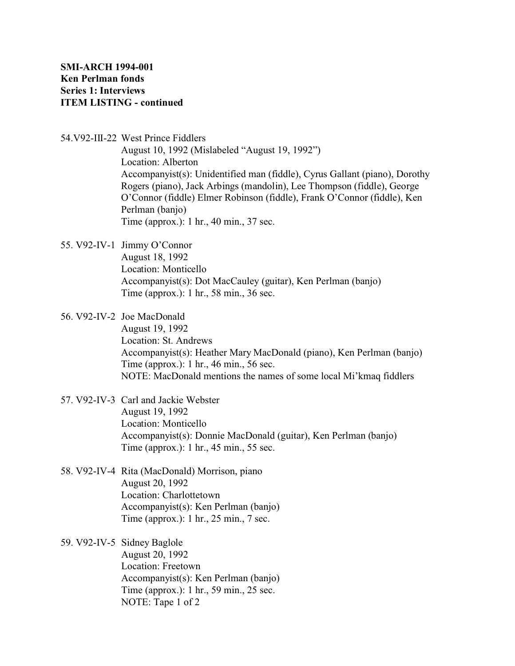54.V92-III-22 West Prince Fiddlers

August 10, 1992 (Mislabeled "August 19, 1992") Location: Alberton Accompanyist(s): Unidentified man (fiddle), Cyrus Gallant (piano), Dorothy Rogers (piano), Jack Arbings (mandolin), Lee Thompson (fiddle), George O'Connor (fiddle) Elmer Robinson (fiddle), Frank O'Connor (fiddle), Ken Perlman (banjo) Time (approx.): 1 hr., 40 min., 37 sec.

55. V92-IV-1 Jimmy O'Connor August 18, 1992 Location: Monticello Accompanyist(s): Dot MacCauley (guitar), Ken Perlman (banjo) Time (approx.): 1 hr., 58 min., 36 sec.

56. V92-IV-2 Joe MacDonald August 19, 1992 Location: St. Andrews Accompanyist(s): Heather Mary MacDonald (piano), Ken Perlman (banjo) Time (approx.): 1 hr., 46 min., 56 sec. NOTE: MacDonald mentions the names of some local Mi'kmaq fiddlers

- 57. V92-IV-3 Carl and Jackie Webster August 19, 1992 Location: Monticello Accompanyist(s): Donnie MacDonald (guitar), Ken Perlman (banjo) Time (approx.): 1 hr., 45 min., 55 sec.
- 58. V92-IV-4 Rita (MacDonald) Morrison, piano August 20, 1992 Location: Charlottetown Accompanyist(s): Ken Perlman (banjo) Time (approx.): 1 hr., 25 min., 7 sec.

59. V92-IV-5 Sidney Baglole August 20, 1992 Location: Freetown Accompanyist(s): Ken Perlman (banjo) Time (approx.): 1 hr., 59 min., 25 sec. NOTE: Tape 1 of 2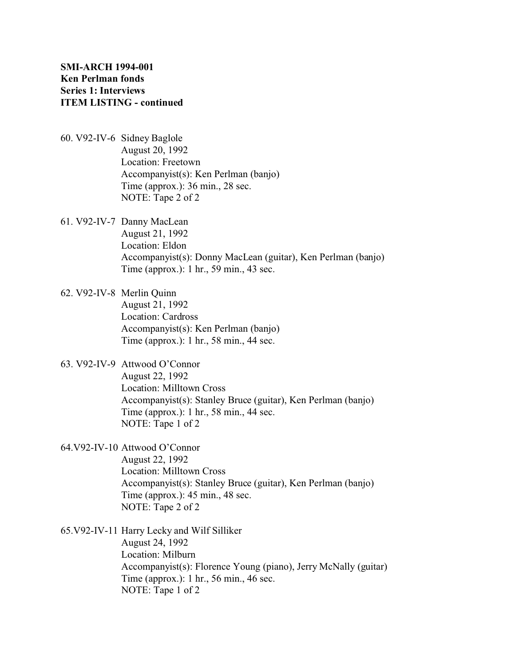- 60. V92-IV-6 Sidney Baglole August 20, 1992 Location: Freetown Accompanyist(s): Ken Perlman (banjo) Time (approx.): 36 min., 28 sec. NOTE: Tape 2 of 2
- 61. V92-IV-7 Danny MacLean August 21, 1992 Location: Eldon Accompanyist(s): Donny MacLean (guitar), Ken Perlman (banjo) Time (approx.): 1 hr., 59 min., 43 sec.
- 62. V92-IV-8 Merlin Quinn August 21, 1992 Location: Cardross Accompanyist(s): Ken Perlman (banjo) Time (approx.): 1 hr., 58 min., 44 sec.
- 63. V92-IV-9 Attwood O'Connor August 22, 1992 Location: Milltown Cross Accompanyist(s): Stanley Bruce (guitar), Ken Perlman (banjo) Time (approx.): 1 hr., 58 min., 44 sec. NOTE: Tape 1 of 2
- 64.V92-IV-10 Attwood O'Connor

August 22, 1992 Location: Milltown Cross Accompanyist(s): Stanley Bruce (guitar), Ken Perlman (banjo) Time (approx.): 45 min., 48 sec. NOTE: Tape 2 of 2

65.V92-IV-11 Harry Lecky and Wilf Silliker August 24, 1992

Location: Milburn Accompanyist(s): Florence Young (piano), Jerry McNally (guitar) Time (approx.): 1 hr., 56 min., 46 sec. NOTE: Tape 1 of 2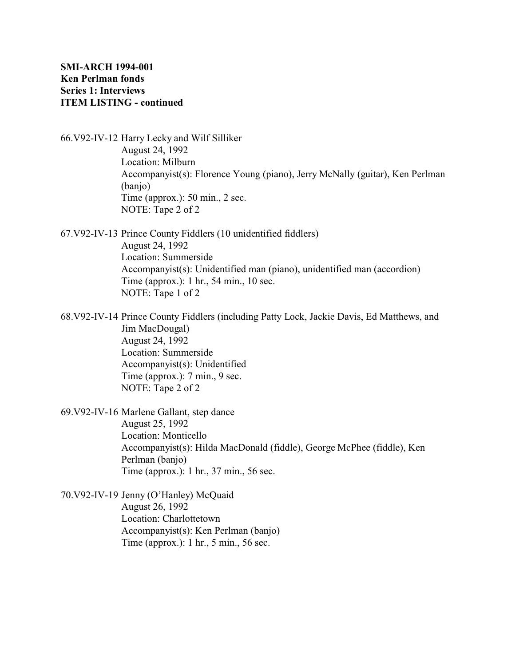66.V92-IV-12 Harry Lecky and Wilf Silliker August 24, 1992 Location: Milburn Accompanyist(s): Florence Young (piano), Jerry McNally (guitar), Ken Perlman (banjo) Time (approx.): 50 min., 2 sec. NOTE: Tape 2 of 2

67.V92-IV-13 Prince County Fiddlers (10 unidentified fiddlers) August 24, 1992 Location: Summerside Accompanyist(s): Unidentified man (piano), unidentified man (accordion) Time (approx.): 1 hr., 54 min., 10 sec. NOTE: Tape 1 of 2

68.V92-IV-14 Prince County Fiddlers (including Patty Lock, Jackie Davis, Ed Matthews, and Jim MacDougal) August 24, 1992 Location: Summerside Accompanyist(s): Unidentified Time (approx.): 7 min., 9 sec. NOTE: Tape 2 of 2

69.V92-IV-16 Marlene Gallant, step dance August 25, 1992 Location: Monticello Accompanyist(s): Hilda MacDonald (fiddle), George McPhee (fiddle), Ken Perlman (banjo) Time (approx.): 1 hr., 37 min., 56 sec.

70.V92-IV-19 Jenny (O'Hanley) McQuaid August 26, 1992 Location: Charlottetown Accompanyist(s): Ken Perlman (banjo) Time (approx.): 1 hr., 5 min., 56 sec.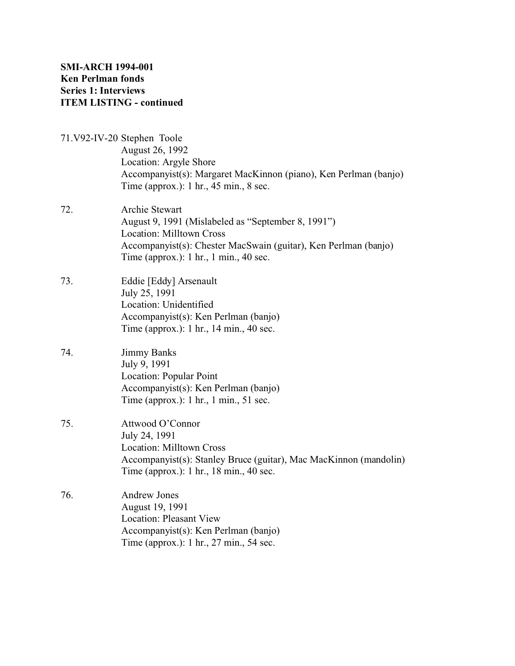- 71.V92-IV-20 Stephen Toole August 26, 1992 Location: Argyle Shore Accompanyist(s): Margaret MacKinnon (piano), Ken Perlman (banjo) Time (approx.): 1 hr., 45 min., 8 sec. 72. Archie Stewart
- August 9, 1991 (Mislabeled as "September 8, 1991") Location: Milltown Cross Accompanyist(s): Chester MacSwain (guitar), Ken Perlman (banjo) Time (approx.): 1 hr., 1 min., 40 sec.
- 73. Eddie [Eddy] Arsenault July 25, 1991 Location: Unidentified Accompanyist(s): Ken Perlman (banjo) Time (approx.): 1 hr., 14 min., 40 sec.
- 74. Jimmy Banks July 9, 1991 Location: Popular Point Accompanyist(s): Ken Perlman (banjo) Time (approx.): 1 hr., 1 min., 51 sec.
- 75. Attwood O'Connor July 24, 1991 Location: Milltown Cross Accompanyist(s): Stanley Bruce (guitar), Mac MacKinnon (mandolin) Time (approx.): 1 hr., 18 min., 40 sec.
- 76. Andrew Jones August 19, 1991 Location: Pleasant View Accompanyist(s): Ken Perlman (banjo) Time (approx.): 1 hr., 27 min., 54 sec.